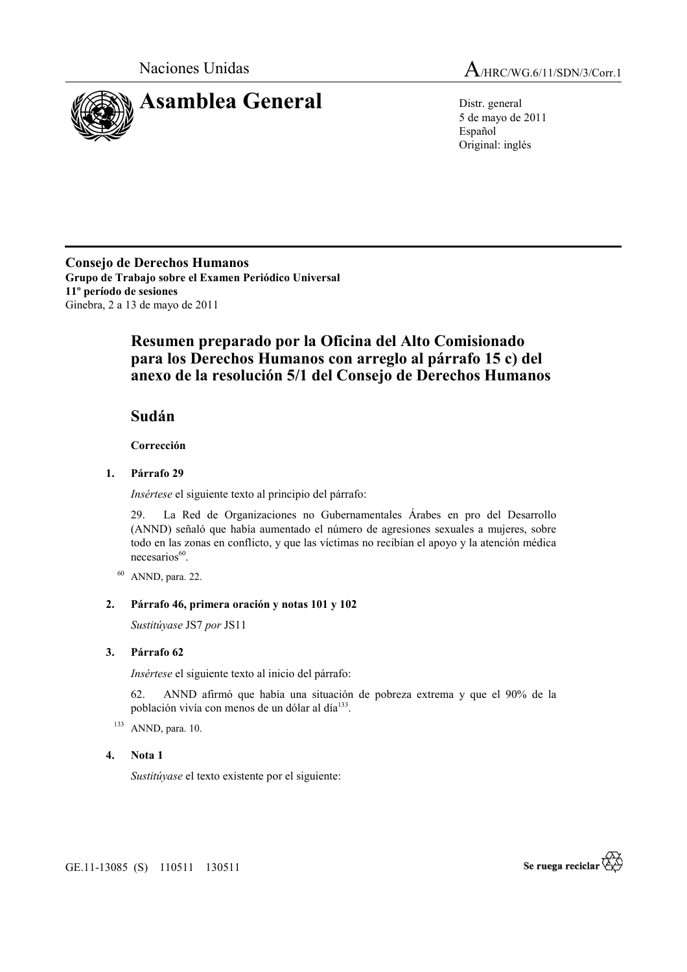

Naciones Unidas A/HRC/WG.6/11/SDN/3/Corr.1

5 de mayo de 2011 Español Original: inglés

**Consejo de Derechos Humanos Grupo de Trabajo sobre el Examen Periódico Universal 11º período de sesiones**  Ginebra, 2 a 13 de mayo de 2011

# **Resumen preparado por la Oficina del Alto Comisionado para los Derechos Humanos con arreglo al párrafo 15 c) del anexo de la resolución 5/1 del Consejo de Derechos Humanos**

## **Sudán**

 **Corrección** 

### **1. Párrafo 29**

*Insértese* el siguiente texto al principio del párrafo:

29. La Red de Organizaciones no Gubernamentales Árabes en pro del Desarrollo (ANND) señaló que había aumentado el número de agresiones sexuales a mujeres, sobre todo en las zonas en conflicto, y que las víctimas no recibían el apoyo y la atención médica necesarios<sup>60</sup>.

 $60$  ANND, para. 22.

### **2. Párrafo 46, primera oración y notas 101 y 102**

*Sustitúyase* JS7 *por* JS11

### **3. Párrafo 62**

*Insértese* el siguiente texto al inicio del párrafo:

62. ANND afirmó que había una situación de pobreza extrema y que el 90% de la población vivía con menos de un dólar al día<sup>133</sup>.

 $133$  ANND, para. 10.

#### **4. Nota 1**

*Sustitúyase* el texto existente por el siguiente:

GE.11-13085 (S) 110511 130511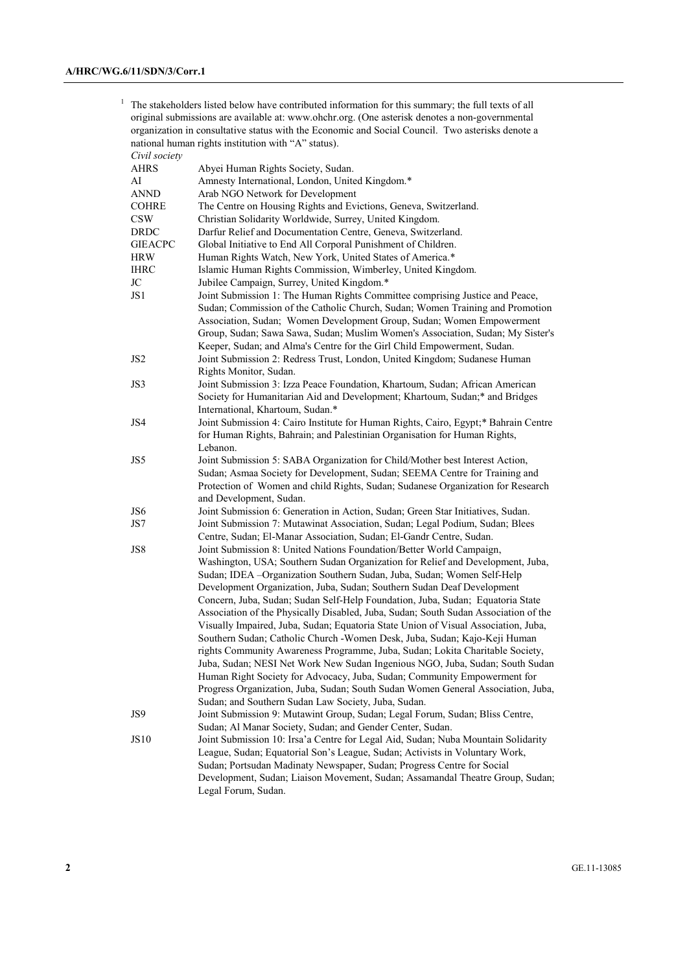<sup>1</sup> The stakeholders listed below have contributed information for this summary; the full texts of all original submissions are available at: www.ohchr.org. (One asterisk denotes a non-governmental organization in consultative status with the Economic and Social Council. Two asterisks denote a national human rights institution with "A" status). *Civil society*

| Civit society   |                                                                                     |
|-----------------|-------------------------------------------------------------------------------------|
| <b>AHRS</b>     | Abyei Human Rights Society, Sudan.                                                  |
| AI              | Amnesty International, London, United Kingdom.*                                     |
| <b>ANND</b>     | Arab NGO Network for Development                                                    |
| <b>COHRE</b>    | The Centre on Housing Rights and Evictions, Geneva, Switzerland.                    |
| <b>CSW</b>      | Christian Solidarity Worldwide, Surrey, United Kingdom.                             |
| <b>DRDC</b>     | Darfur Relief and Documentation Centre, Geneva, Switzerland.                        |
| <b>GIEACPC</b>  | Global Initiative to End All Corporal Punishment of Children.                       |
| <b>HRW</b>      | Human Rights Watch, New York, United States of America.*                            |
| <b>IHRC</b>     | Islamic Human Rights Commission, Wimberley, United Kingdom.                         |
| JC              | Jubilee Campaign, Surrey, United Kingdom.*                                          |
| JS1             | Joint Submission 1: The Human Rights Committee comprising Justice and Peace,        |
|                 | Sudan; Commission of the Catholic Church, Sudan; Women Training and Promotion       |
|                 | Association, Sudan; Women Development Group, Sudan; Women Empowerment               |
|                 | Group, Sudan; Sawa Sawa, Sudan; Muslim Women's Association, Sudan; My Sister's      |
|                 | Keeper, Sudan; and Alma's Centre for the Girl Child Empowerment, Sudan.             |
|                 |                                                                                     |
| JS <sub>2</sub> | Joint Submission 2: Redress Trust, London, United Kingdom; Sudanese Human           |
|                 | Rights Monitor, Sudan.                                                              |
| JS3             | Joint Submission 3: Izza Peace Foundation, Khartoum, Sudan; African American        |
|                 | Society for Humanitarian Aid and Development; Khartoum, Sudan;* and Bridges         |
|                 | International, Khartoum, Sudan.*                                                    |
| JS4             | Joint Submission 4: Cairo Institute for Human Rights, Cairo, Egypt;* Bahrain Centre |
|                 | for Human Rights, Bahrain; and Palestinian Organisation for Human Rights,           |
|                 | Lebanon.                                                                            |
| JS5             | Joint Submission 5: SABA Organization for Child/Mother best Interest Action,        |
|                 | Sudan; Asmaa Society for Development, Sudan; SEEMA Centre for Training and          |
|                 | Protection of Women and child Rights, Sudan; Sudanese Organization for Research     |
|                 | and Development, Sudan.                                                             |
| JS6             | Joint Submission 6: Generation in Action, Sudan; Green Star Initiatives, Sudan.     |
| JS7             | Joint Submission 7: Mutawinat Association, Sudan; Legal Podium, Sudan; Blees        |
|                 | Centre, Sudan; El-Manar Association, Sudan; El-Gandr Centre, Sudan.                 |
| JS8             | Joint Submission 8: United Nations Foundation/Better World Campaign,                |
|                 | Washington, USA; Southern Sudan Organization for Relief and Development, Juba,      |
|                 | Sudan; IDEA -Organization Southern Sudan, Juba, Sudan; Women Self-Help              |
|                 | Development Organization, Juba, Sudan; Southern Sudan Deaf Development              |
|                 | Concern, Juba, Sudan; Sudan Self-Help Foundation, Juba, Sudan; Equatoria State      |
|                 | Association of the Physically Disabled, Juba, Sudan; South Sudan Association of the |
|                 | Visually Impaired, Juba, Sudan; Equatoria State Union of Visual Association, Juba,  |
|                 | Southern Sudan; Catholic Church - Women Desk, Juba, Sudan; Kajo-Keji Human          |
|                 | rights Community Awareness Programme, Juba, Sudan; Lokita Charitable Society,       |
|                 | Juba, Sudan; NESI Net Work New Sudan Ingenious NGO, Juba, Sudan; South Sudan        |
|                 | Human Right Society for Advocacy, Juba, Sudan; Community Empowerment for            |
|                 | Progress Organization, Juba, Sudan; South Sudan Women General Association, Juba,    |
|                 | Sudan; and Southern Sudan Law Society, Juba, Sudan.                                 |
| JS9             | Joint Submission 9: Mutawint Group, Sudan; Legal Forum, Sudan; Bliss Centre,        |
|                 | Sudan; Al Manar Society, Sudan; and Gender Center, Sudan.                           |
| <b>JS10</b>     | Joint Submission 10: Irsa'a Centre for Legal Aid, Sudan; Nuba Mountain Solidarity   |
|                 | League, Sudan; Equatorial Son's League, Sudan; Activists in Voluntary Work,         |
|                 | Sudan; Portsudan Madinaty Newspaper, Sudan; Progress Centre for Social              |
|                 | Development, Sudan; Liaison Movement, Sudan; Assamandal Theatre Group, Sudan;       |
|                 | Legal Forum, Sudan.                                                                 |
|                 |                                                                                     |